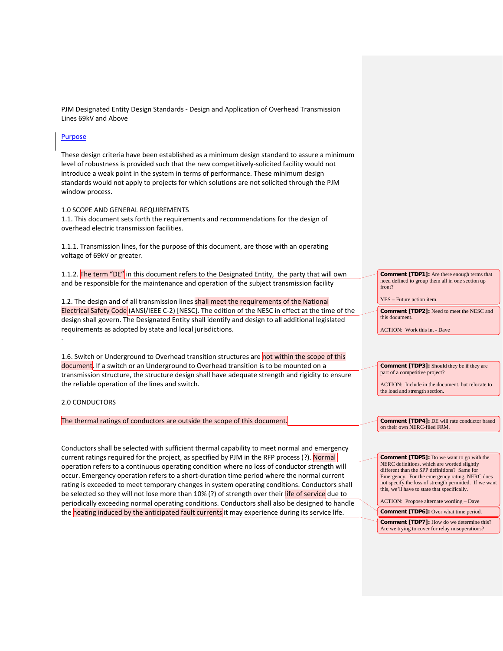PJM Designated Entity Design Standards - Design and Application of Overhead Transmission Lines 69kV and Above

## Purpose

These design criteria have been established as a minimum design standard to assure a minimum level of robustness is provided such that the new competitively-solicited facility would not introduce a weak point in the system in terms of performance. These minimum design standards would not apply to projects for which solutions are not solicited through the PJM window process.

## 1.0 SCOPE AND GENERAL REQUIREMENTS

1.1. This document sets forth the requirements and recommendations for the design of overhead electric transmission facilities.

1.1.1. Transmission lines, for the purpose of this document, are those with an operating voltage of 69kV or greater.

1.1.2. The term "DE" in this document refers to the Designated Entity, the party that will own and be responsible for the maintenance and operation of the subject transmission facility

1.2. The design and of all transmission lines shall meet the requirements of the National Electrical Safety Code (ANSI/IEEE C-2) [NESC]. The edition of the NESC in effect at the time of the design shall govern. The Designated Entity shall identify and design to all additional legislated requirements as adopted by state and local jurisdictions.

1.6. Switch or Underground to Overhead transition structures are not within the scope of this document. If a switch or an Underground to Overhead transition is to be mounted on a transmission structure, the structure design shall have adequate strength and rigidity to ensure the reliable operation of the lines and switch.

# 2.0 CONDUCTORS

.

The thermal ratings of conductors are outside the scope of this document.

Conductors shall be selected with sufficient thermal capability to meet normal and emergency current ratings required for the project, as specified by PJM in the RFP process (?). Normal operation refers to a continuous operating condition where no loss of conductor strength will occur. Emergency operation refers to a short-duration time period where the normal current rating is exceeded to meet temporary changes in system operating conditions. Conductors shall be selected so they will not lose more than 10% (?) of strength over their life of service due to periodically exceeding normal operating conditions. Conductors shall also be designed to handle the **heating induced by the anticipated fault currents** it may experience during its service life.

**Comment [TDP1]:** Are there enough terms that need defined to group them all in one section up front?

YES – Future action item.

**Comment [TDP2]:** Need to meet the NESC and this document.

ACTION: Work this in. - Dave

**Comment [TDP3]:** Should they be if they are part of a competitive project?

ACTION: Include in the document, but relocate to the load and strength section.

**Comment [TDP4]:** DE will rate conductor based on their own NERC-filed FRM.

**Comment [TDP5]:** Do we want to go with the NERC definitions, which are worded slightly different than the SPP definitions? Same for Emergency. For the emergency rating, NERC does not specify the loss of strength permitted. If we want this, we'll have to state that specifically.

ACTION: Propose alternate wording – Dave

**Comment [TDP6]:** Over what time period. **Comment [TDP7]:** How do we determine this? Are we trying to cover for relay misoperations?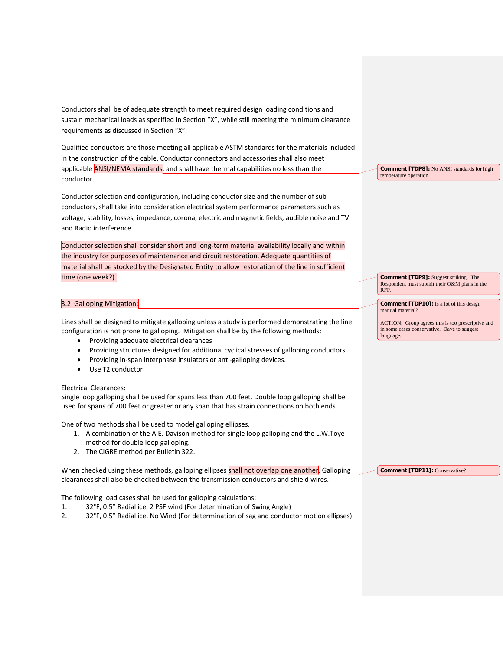Conductors shall be of adequate strength to meet required design loading conditions and sustain mechanical loads as specified in Section "X", while still meeting the minimum clearance requirements as discussed in Section "X".

Qualified conductors are those meeting all applicable ASTM standards for the materials included in the construction of the cable. Conductor connectors and accessories shall also meet applicable **ANSI/NEMA standards**, and shall have thermal capabilities no less than the conductor.

Conductor selection and configuration, including conductor size and the number of subconductors, shall take into consideration electrical system performance parameters such as voltage, stability, losses, impedance, corona, electric and magnetic fields, audible noise and TV and Radio interference.

Conductor selection shall consider short and long-term material availability locally and within the industry for purposes of maintenance and circuit restoration. Adequate quantities of material shall be stocked by the Designated Entity to allow restoration of the line in sufficient time (one week?).

## 3.2 Galloping Mitigation:

Lines shall be designed to mitigate galloping unless a study is performed demonstrating the line configuration is not prone to galloping. Mitigation shall be by the following methods:

- Providing adequate electrical clearances
- Providing structures designed for additional cyclical stresses of galloping conductors.
- Providing in-span interphase insulators or anti-galloping devices.
- Use T2 conductor

## Electrical Clearances:

Single loop galloping shall be used for spans less than 700 feet. Double loop galloping shall be used for spans of 700 feet or greater or any span that has strain connections on both ends.

One of two methods shall be used to model galloping ellipses.

- 1. A combination of the A.E. Davison method for single loop galloping and the L.W.Toye method for double loop galloping.
- 2. The CIGRE method per Bulletin 322.

When checked using these methods, galloping ellipses shall not overlap one another. Galloping clearances shall also be checked between the transmission conductors and shield wires. **Comment [TDP11]:** Conservative?

The following load cases shall be used for galloping calculations:

- 1. 32°F, 0.5" Radial ice, 2 PSF wind (For determination of Swing Angle)
- 2. 32°F, 0.5" Radial ice, No Wind (For determination of sag and conductor motion ellipses)

**Comment [TDP8]:** No ANSI standards for high temperature operation.

**Comment [TDP9]:** Suggest striking. The Respondent must submit their O&M plans in the RFP.

**Comment [TDP10]:** Is a lot of this design manual material?

ACTION: Group agrees this is too prescriptive and in some cases conservative. Dave to suggest language.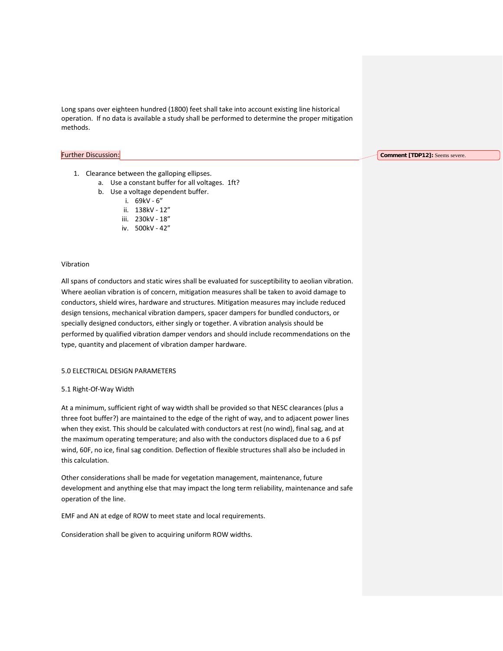Long spans over eighteen hundred (1800) feet shall take into account existing line historical operation. If no data is available a study shall be performed to determine the proper mitigation methods.

## Further Discussion:

**Comment [TDP12]:** Seems severe.

- 1. Clearance between the galloping ellipses.
	- a. Use a constant buffer for all voltages. 1ft?
	- b. Use a voltage dependent buffer.
		- i. 69kV 6"
		- ii. 138kV 12"
		- iii. 230kV 18"
		- iv. 500kV 42"

## Vibration

All spans of conductors and static wires shall be evaluated for susceptibility to aeolian vibration. Where aeolian vibration is of concern, mitigation measures shall be taken to avoid damage to conductors, shield wires, hardware and structures. Mitigation measures may include reduced design tensions, mechanical vibration dampers, spacer dampers for bundled conductors, or specially designed conductors, either singly or together. A vibration analysis should be performed by qualified vibration damper vendors and should include recommendations on the type, quantity and placement of vibration damper hardware.

## 5.0 ELECTRICAL DESIGN PARAMETERS

#### 5.1 Right-Of-Way Width

At a minimum, sufficient right of way width shall be provided so that NESC clearances (plus a three foot buffer?) are maintained to the edge of the right of way, and to adjacent power lines when they exist. This should be calculated with conductors at rest (no wind), final sag, and at the maximum operating temperature; and also with the conductors displaced due to a 6 psf wind, 60F, no ice, final sag condition. Deflection of flexible structures shall also be included in this calculation.

Other considerations shall be made for vegetation management, maintenance, future development and anything else that may impact the long term reliability, maintenance and safe operation of the line.

EMF and AN at edge of ROW to meet state and local requirements.

Consideration shall be given to acquiring uniform ROW widths.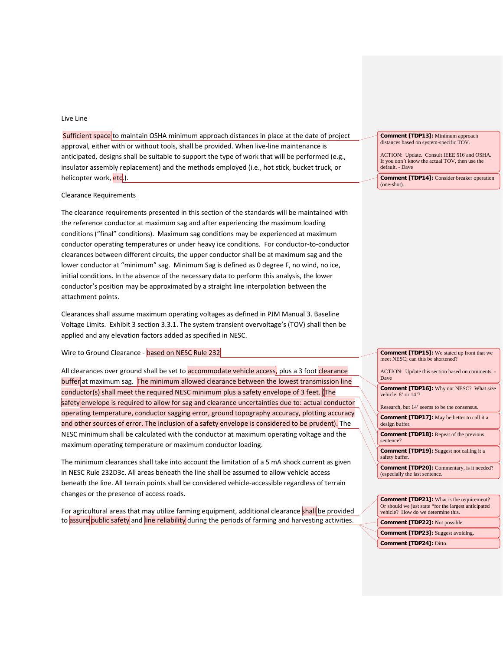## Live Line

Sufficient space to maintain OSHA minimum approach distances in place at the date of project approval, either with or without tools, shall be provided. When live-line maintenance is anticipated, designs shall be suitable to support the type of work that will be performed (e.g., insulator assembly replacement) and the methods employed (i.e., hot stick, bucket truck, or helicopter work, etc.).

#### Clearance Requirements

The clearance requirements presented in this section of the standards will be maintained with the reference conductor at maximum sag and after experiencing the maximum loading conditions ("final" conditions). Maximum sag conditions may be experienced at maximum conductor operating temperatures or under heavy ice conditions. For conductor-to-conductor clearances between different circuits, the upper conductor shall be at maximum sag and the lower conductor at "minimum" sag. Minimum Sag is defined as 0 degree F, no wind, no ice, initial conditions. In the absence of the necessary data to perform this analysis, the lower conductor's position may be approximated by a straight line interpolation between the attachment points.

Clearances shall assume maximum operating voltages as defined in PJM Manual 3. Baseline Voltage Limits. Exhibit 3 section 3.3.1. The system transient overvoltage's (TOV) shall then be applied and any elevation factors added as specified in NESC.

Wire to Ground Clearance - based on NESC Rule 232

All clearances over ground shall be set to accommodate vehicle access, plus a 3 foot clearance buffer at maximum sag. The minimum allowed clearance between the lowest transmission line conductor(s) shall meet the required NESC minimum plus a safety envelope of 3 feet. (The safety envelope is required to allow for sag and clearance uncertainties due to: actual conductor operating temperature, conductor sagging error, ground topography accuracy, plotting accuracy and other sources of error. The inclusion of a safety envelope is considered to be prudent). The NESC minimum shall be calculated with the conductor at maximum operating voltage and the maximum operating temperature or maximum conductor loading.

The minimum clearances shall take into account the limitation of a 5 mA shock current as given in NESC Rule 232D3c. All areas beneath the line shall be assumed to allow vehicle access beneath the line. All terrain points shall be considered vehicle-accessible regardless of terrain changes or the presence of access roads.

For agricultural areas that may utilize farming equipment, additional clearance shall be provided to assure public safety and line reliability during the periods of farming and harvesting activities.

**Comment [TDP13]:** Minimum approach distances based on system-specific TOV.

ACTION: Update. Consult IEEE 516 and OSHA. If you don't know the actual TOV, then use the default. - Dave

**Comment [TDP14]:** Consider breaker operation (one-shot).

**Comment [TDP15]:** We stated up front that we meet NESC; can this be shortened?

ACTION: Update this section based on comments. - Dave

**Comment [TDP16]:** Why not NESC? What size vehicle, 8' or 14'?

Research, but 14' seems to be the consensus.

**Comment [TDP17]:** May be better to call it a design buffer.

**Comment [TDP18]:** Repeat of the previous sentence?

**Comment [TDP19]:** Suggest not calling it a safety buffer.

**Comment [TDP20]:** Commentary, is it needed? (especially the last sentence.

**Comment [TDP21]:** What is the requirement? Or should we just state "for the largest anticipated vehicle? How do we determine this. **Comment [TDP22]:** Not possible. **Comment [TDP23]:** Suggest avoiding.

**Comment [TDP24]:** Ditto.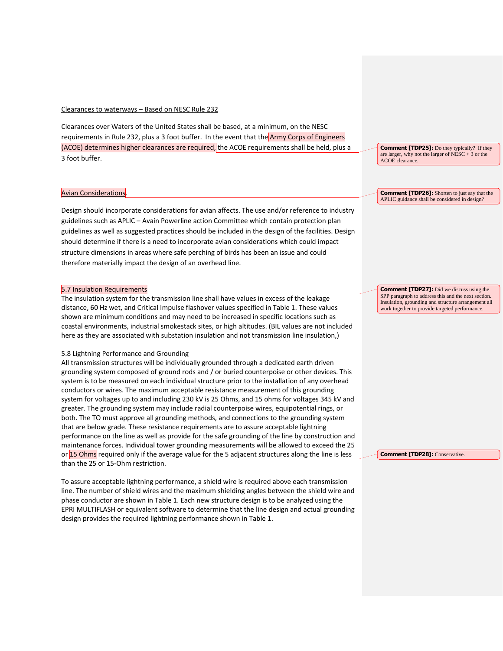## Clearances to waterways – Based on NESC Rule 232

Clearances over Waters of the United States shall be based, at a minimum, on the NESC requirements in Rule 232, plus a 3 foot buffer. In the event that the Army Corps of Engineers (ACOE) determines higher clearances are required, the ACOE requirements shall be held, plus a 3 foot buffer.

#### Avian Considerations.

Design should incorporate considerations for avian affects. The use and/or reference to industry guidelines such as APLIC – Avain Powerline action Committee which contain protection plan guidelines as well as suggested practices should be included in the design of the facilities. Design should determine if there is a need to incorporate avian considerations which could impact structure dimensions in areas where safe perching of birds has been an issue and could therefore materially impact the design of an overhead line.

#### 5.7 Insulation Requirements

The insulation system for the transmission line shall have values in excess of the leakage distance, 60 Hz wet, and Critical Impulse flashover values specified in Table 1. These values shown are minimum conditions and may need to be increased in specific locations such as coastal environments, industrial smokestack sites, or high altitudes. (BIL values are not included here as they are associated with substation insulation and not transmission line insulation,)

## 5.8 Lightning Performance and Grounding

All transmission structures will be individually grounded through a dedicated earth driven grounding system composed of ground rods and / or buried counterpoise or other devices. This system is to be measured on each individual structure prior to the installation of any overhead conductors or wires. The maximum acceptable resistance measurement of this grounding system for voltages up to and including 230 kV is 25 Ohms, and 15 ohms for voltages 345 kV and greater. The grounding system may include radial counterpoise wires, equipotential rings, or both. The TO must approve all grounding methods, and connections to the grounding system that are below grade. These resistance requirements are to assure acceptable lightning performance on the line as well as provide for the safe grounding of the line by construction and maintenance forces. Individual tower grounding measurements will be allowed to exceed the 25 or 15 Ohms required only if the average value for the 5 adjacent structures along the line is less than the 25 or 15-Ohm restriction.

To assure acceptable lightning performance, a shield wire is required above each transmission line. The number of shield wires and the maximum shielding angles between the shield wire and phase conductor are shown in Table 1. Each new structure design is to be analyzed using the EPRI MULTIFLASH or equivalent software to determine that the line design and actual grounding design provides the required lightning performance shown in Table 1.

**Comment [TDP25]:** Do they typically? If they are larger, why not the larger of  $NESC + 3$  or the ACOE clearance.

**Comment [TDP26]:** Shorten to just say that the APLIC guidance shall be considered in design?

**Comment [TDP27]:** Did we discuss using the SPP paragraph to address this and the next section. Insulation, grounding and structure arrangement all work together to provide targeted performance.

**Comment [TDP28]:** Conservative.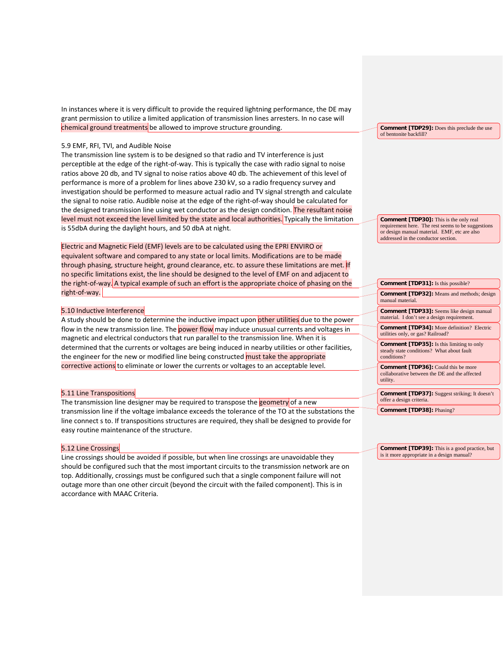In instances where it is very difficult to provide the required lightning performance, the DE may grant permission to utilize a limited application of transmission lines arresters. In no case will chemical ground treatments be allowed to improve structure grounding.

#### 5.9 EMF, RFI, TVI, and Audible Noise

The transmission line system is to be designed so that radio and TV interference is just perceptible at the edge of the right-of-way. This is typically the case with radio signal to noise ratios above 20 db, and TV signal to noise ratios above 40 db. The achievement of this level of performance is more of a problem for lines above 230 kV, so a radio frequency survey and investigation should be performed to measure actual radio and TV signal strength and calculate the signal to noise ratio. Audible noise at the edge of the right-of-way should be calculated for the designed transmission line using wet conductor as the design condition. The resultant noise level must not exceed the level limited by the state and local authorities. Typically the limitation is 55dbA during the daylight hours, and 50 dbA at night.

Electric and Magnetic Field (EMF) levels are to be calculated using the EPRI ENVIRO or equivalent software and compared to any state or local limits. Modifications are to be made through phasing, structure height, ground clearance, etc. to assure these limitations are met. If no specific limitations exist, the line should be designed to the level of EMF on and adjacent to the right-of-way. A typical example of such an effort is the appropriate choice of phasing on the right-of-way.

## 5.10 Inductive Interference

A study should be done to determine the inductive impact upon other utilities due to the power flow in the new transmission line. The power flow may induce unusual currents and voltages in magnetic and electrical conductors that run parallel to the transmission line. When it is determined that the currents or voltages are being induced in nearby utilities or other facilities, the engineer for the new or modified line being constructed must take the appropriate corrective actions to eliminate or lower the currents or voltages to an acceptable level.

#### 5.11 Line Transpositions

The transmission line designer may be required to transpose the geometry of a new transmission line if the voltage imbalance exceeds the tolerance of the TO at the substations the line connect s to. If transpositions structures are required, they shall be designed to provide for easy routine maintenance of the structure.

#### 5.12 Line Crossings

Line crossings should be avoided if possible, but when line crossings are unavoidable they should be configured such that the most important circuits to the transmission network are on top. Additionally, crossings must be configured such that a single component failure will not outage more than one other circuit (beyond the circuit with the failed component). This is in accordance with MAAC Criteria.

**Comment [TDP29]:** Does this preclude the use of bentonite backfill?

**Comment [TDP30]:** This is the only real requirement here. The rest seems to be suggestions or design manual material. EMF, etc are also addressed in the conductor section.

## **Comment [TDP31]:** Is this possible? **Comment [TDP32]:** Means and methods; design manual material. **Comment [TDP33]:** Seems like design manual material. I don't see a design requirement. **Comment [TDP34]:** More definition? Electric utilities only, or gas? Railroad? **Comment [TDP35]:** Is this limiting to only steady state conditions? What about fault conditions? **Comment [TDP36]:** Could this be more

collaborative between the DE and the affected utility.

**Comment [TDP37]:** Suggest striking; It doesn't offer a design criteria.

**Comment [TDP38]:** Phasing?

**Comment [TDP39]:** This is a good practice, but is it more appropriate in a design manual?